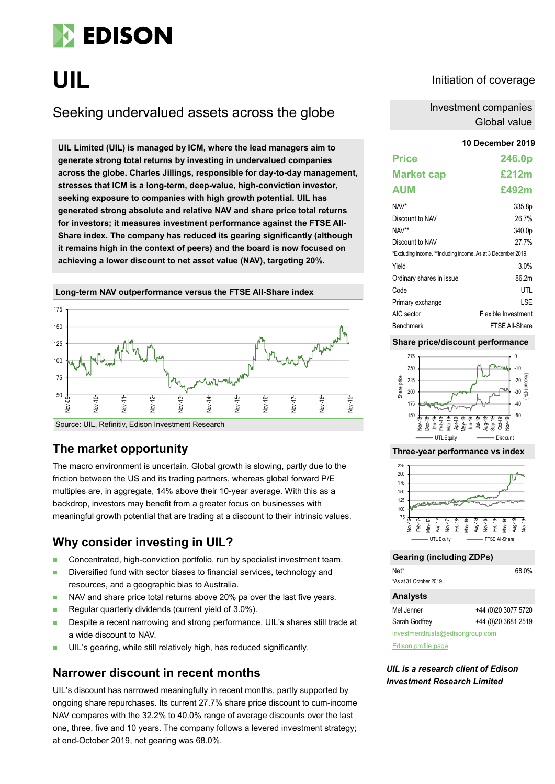

# **UIL**

# Seeking undervalued assets across the globe

**UIL Limited (UIL) is managed by ICM, where the lead managers aim to generate strong total returns by investing in undervalued companies across the globe. Charles Jillings, responsible for day-to-day management, stresses that ICM is a long-term, deep-value, high-conviction investor, seeking exposure to companies with high growth potential. UIL has generated strong absolute and relative NAV and share price total returns for investors; it measures investment performance against the FTSE All-Share index. The company has reduced its gearing significantly (although it remains high in the context of peers) and the board is now focused on achieving a lower discount to net asset value (NAV), targeting 20%.**

Source: UIL, Refinitiv, Edison Investment Research 50 75 100 125 150 175 g.<br>C  $nv-10$ Nov-11 Nov-12 Nov-13 Nov-14 Nov-15 Nov-16 Nov-17 Nov-18 Nov-19

**Long-term NAV outperformance versus the FTSE All-Share index**

### **The market opportunity**

The macro environment is uncertain. Global growth is slowing, partly due to the friction between the US and its trading partners, whereas global forward P/E multiples are, in aggregate, 14% above their 10-year average. With this as a backdrop, investors may benefit from a greater focus on businesses with meaningful growth potential that are trading at a discount to their intrinsic values.

### **Why consider investing in UIL?**

- **Concentrated, high-conviction portfolio, run by specialist investment team.**
- Diversified fund with sector biases to financial services, technology and resources, and a geographic bias to Australia.
- NAV and share price total returns above 20% pa over the last five years.
- Regular quarterly dividends (current yield of  $3.0\%$ ).
- **Despite a recent narrowing and strong performance, UIL's shares still trade at** a wide discount to NAV.
- UIL's gearing, while still relatively high, has reduced significantly.

### **Narrower discount in recent months**

UIL's discount has narrowed meaningfully in recent months, partly supported by ongoing share repurchases. Its current 27.7% share price discount to cum-income NAV compares with the 32.2% to 40.0% range of average discounts over the last one, three, five and 10 years. The company follows a levered investment strategy; at end-October 2019, net gearing was 68.0%.

### Initiation of coverage

Investment companies Global value

#### **10 December 2019**

| <b>Price</b>                                                  | 246.0p              |
|---------------------------------------------------------------|---------------------|
| <b>Market cap</b>                                             | £212m               |
| <b>AUM</b>                                                    | £492m               |
| NAV*                                                          | 335.8p              |
| Discount to NAV                                               | 26.7%               |
| NAV**                                                         | 340.0p              |
| Discount to NAV                                               | 27.7%               |
| *Excluding income. **Including income. As at 3 December 2019. |                     |
| Yield                                                         | 3.0%                |
| Ordinary shares in issue                                      | 86 2m               |
| Code                                                          | UTL                 |
| Primary exchange                                              | I SF                |
| AIC sector                                                    | Flexible Investment |
| <b>Benchmark</b>                                              | FTSF All-Share      |

### **Share price/discount performance**



#### **Three-year performance vs index**



### **Gearing (including ZDPs)**

| Net*                             | 68.0%               |
|----------------------------------|---------------------|
| *As at 31 October 2019.          |                     |
| <b>Analysts</b>                  |                     |
| Mel Jenner                       | +44 (0)20 3077 5720 |
| Sarah Godfrey                    | +44 (0)20 3681 2519 |
| investmenttrusts@edisongroup.com |                     |

[Edison profile page](https://www.edisongroup.com/company/uil-ltd/2910/)

*UIL is a research client of Edison Investment Research Limited*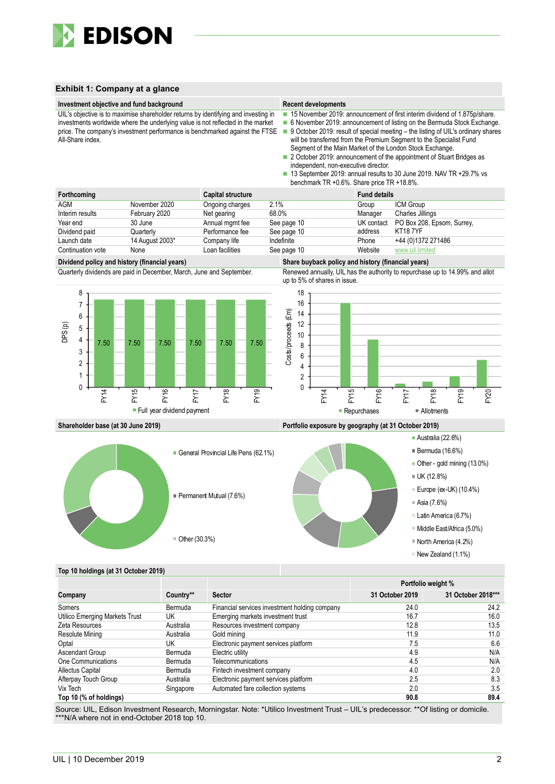

#### **Exhibit 1: Company at a glance**



|                                |           | <b>I VILIVIIV WULGILL /U</b>                  |                 |                    |
|--------------------------------|-----------|-----------------------------------------------|-----------------|--------------------|
| Company                        | Country** | <b>Sector</b>                                 | 31 October 2019 | 31 October 2018*** |
| Somers                         | Bermuda   | Financial services investment holding company | 24.0            | 24.2               |
| Utilico Emerging Markets Trust | UK        | Emerging markets investment trust             | 16.7            | 16.0               |
| Zeta Resources                 | Australia | Resources investment company                  | 12.8            | 13.5               |
| Resolute Mining                | Australia | Gold mining                                   | 11.9            | 11.0               |
| Optal                          | UK        | Electronic payment services platform          | 7.5             | 6.6                |
| Ascendant Group                | Bermuda   | Electric utility                              | 4.9             | N/A                |
| One Communications             | Bermuda   | <b>Telecommunications</b>                     | 4.5             | N/A                |
| <b>Allectus Capital</b>        | Bermuda   | Fintech investment company                    | 4.0             | 2.0                |
| Afterpay Touch Group           | Australia | Electronic payment services platform          | 2.5             | 8.3                |
| Vix Tech                       | Singapore | Automated fare collection systems             | 2.0             | 3.5                |
| Top 10 (% of holdings)         |           |                                               | 90.8            | 89.4               |

Source: UIL, Edison Investment Research, Morningstar. Note: \*Utilico Investment Trust – UIL's predecessor. \*\*Of listing or domicile. \*\*\*N/A where not in end-October 2018 top 10.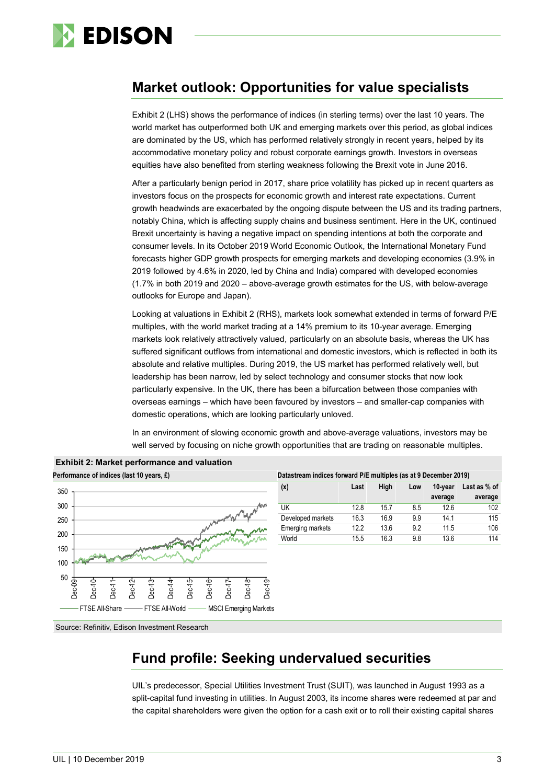

# **Market outlook: Opportunities for value specialists**

Exhibit 2 (LHS) shows the performance of indices (in sterling terms) over the last 10 years. The world market has outperformed both UK and emerging markets over this period, as global indices are dominated by the US, which has performed relatively strongly in recent years, helped by its accommodative monetary policy and robust corporate earnings growth. Investors in overseas equities have also benefited from sterling weakness following the Brexit vote in June 2016.

After a particularly benign period in 2017, share price volatility has picked up in recent quarters as investors focus on the prospects for economic growth and interest rate expectations. Current growth headwinds are exacerbated by the ongoing dispute between the US and its trading partners, notably China, which is affecting supply chains and business sentiment. Here in the UK, continued Brexit uncertainty is having a negative impact on spending intentions at both the corporate and consumer levels. In its October 2019 World Economic Outlook, the International Monetary Fund forecasts higher GDP growth prospects for emerging markets and developing economies (3.9% in 2019 followed by 4.6% in 2020, led by China and India) compared with developed economies (1.7% in both 2019 and 2020 – above-average growth estimates for the US, with below-average outlooks for Europe and Japan).

Looking at valuations in Exhibit 2 (RHS), markets look somewhat extended in terms of forward P/E multiples, with the world market trading at a 14% premium to its 10-year average. Emerging markets look relatively attractively valued, particularly on an absolute basis, whereas the UK has suffered significant outflows from international and domestic investors, which is reflected in both its absolute and relative multiples. During 2019, the US market has performed relatively well, but leadership has been narrow, led by select technology and consumer stocks that now look particularly expensive. In the UK, there has been a bifurcation between those companies with overseas earnings – which have been favoured by investors – and smaller-cap companies with domestic operations, which are looking particularly unloved.

In an environment of slowing economic growth and above-average valuations, investors may be well served by focusing on niche growth opportunities that are trading on reasonable multiples.



| Datastream indices forward P/E multiples (as at 9 December 2019) |                                                |      |     |         |         |  |  |  |  |
|------------------------------------------------------------------|------------------------------------------------|------|-----|---------|---------|--|--|--|--|
| (x)                                                              | High<br>Last as % of<br>Last<br>10-year<br>Low |      |     |         |         |  |  |  |  |
|                                                                  |                                                |      |     | average | average |  |  |  |  |
| UK                                                               | 12.8                                           | 157  | 85  | 126     | 102     |  |  |  |  |
| Developed markets                                                | 16.3                                           | 16.9 | 9.9 | 141     | 115     |  |  |  |  |
| <b>Emerging markets</b>                                          | 12.2                                           | 13.6 | 9.2 | 11.5    | 106     |  |  |  |  |
| World                                                            | 15.5                                           | 16.3 | 9.8 | 13.6    | 114     |  |  |  |  |

Source: Refinitiv, Edison Investment Research

# **Fund profile: Seeking undervalued securities**

UIL's predecessor, Special Utilities Investment Trust (SUIT), was launched in August 1993 as a split-capital fund investing in utilities. In August 2003, its income shares were redeemed at par and the capital shareholders were given the option for a cash exit or to roll their existing capital shares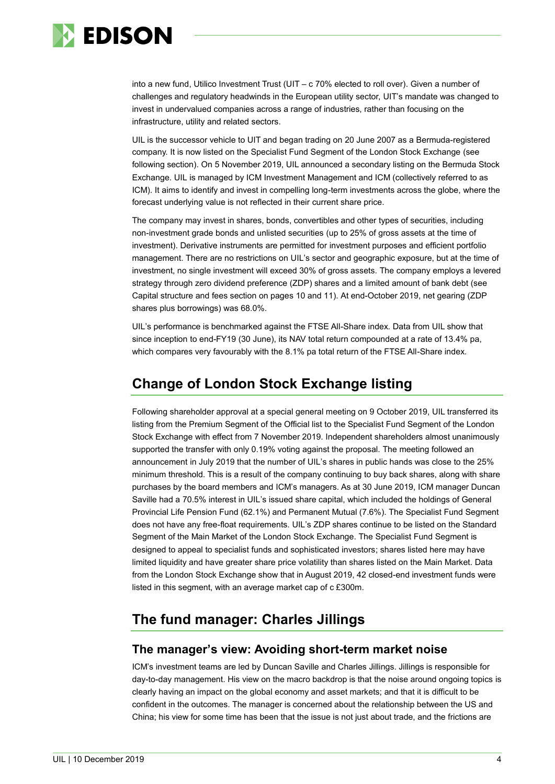

into a new fund, Utilico Investment Trust (UIT – c 70% elected to roll over). Given a number of challenges and regulatory headwinds in the European utility sector, UIT's mandate was changed to invest in undervalued companies across a range of industries, rather than focusing on the infrastructure, utility and related sectors.

UIL is the successor vehicle to UIT and began trading on 20 June 2007 as a Bermuda-registered company. It is now listed on the Specialist Fund Segment of the London Stock Exchange (see following section). On 5 November 2019, UIL announced a secondary listing on the Bermuda Stock Exchange. UIL is managed by ICM Investment Management and ICM (collectively referred to as ICM). It aims to identify and invest in compelling long-term investments across the globe, where the forecast underlying value is not reflected in their current share price.

The company may invest in shares, bonds, convertibles and other types of securities, including non-investment grade bonds and unlisted securities (up to 25% of gross assets at the time of investment). Derivative instruments are permitted for investment purposes and efficient portfolio management. There are no restrictions on UIL's sector and geographic exposure, but at the time of investment, no single investment will exceed 30% of gross assets. The company employs a levered strategy through zero dividend preference (ZDP) shares and a limited amount of bank debt (see Capital structure and fees section on pages 10 and 11). At end-October 2019, net gearing (ZDP shares plus borrowings) was 68.0%.

UIL's performance is benchmarked against the FTSE All-Share index. Data from UIL show that since inception to end-FY19 (30 June), its NAV total return compounded at a rate of 13.4% pa, which compares very favourably with the 8.1% pa total return of the FTSE All-Share index.

# **Change of London Stock Exchange listing**

Following shareholder approval at a special general meeting on 9 October 2019, UIL transferred its listing from the Premium Segment of the Official list to the Specialist Fund Segment of the London Stock Exchange with effect from 7 November 2019. Independent shareholders almost unanimously supported the transfer with only 0.19% voting against the proposal. The meeting followed an announcement in July 2019 that the number of UIL's shares in public hands was close to the 25% minimum threshold. This is a result of the company continuing to buy back shares, along with share purchases by the board members and ICM's managers. As at 30 June 2019, ICM manager Duncan Saville had a 70.5% interest in UIL's issued share capital, which included the holdings of General Provincial Life Pension Fund (62.1%) and Permanent Mutual (7.6%). The Specialist Fund Segment does not have any free-float requirements. UIL's ZDP shares continue to be listed on the Standard Segment of the Main Market of the London Stock Exchange. The Specialist Fund Segment is designed to appeal to specialist funds and sophisticated investors; shares listed here may have limited liquidity and have greater share price volatility than shares listed on the Main Market. Data from the London Stock Exchange show that in August 2019, 42 closed-end investment funds were listed in this segment, with an average market cap of c £300m.

# **The fund manager: Charles Jillings**

### **The manager's view: Avoiding short-term market noise**

ICM's investment teams are led by Duncan Saville and Charles Jillings. Jillings is responsible for day-to-day management. His view on the macro backdrop is that the noise around ongoing topics is clearly having an impact on the global economy and asset markets; and that it is difficult to be confident in the outcomes. The manager is concerned about the relationship between the US and China; his view for some time has been that the issue is not just about trade, and the frictions are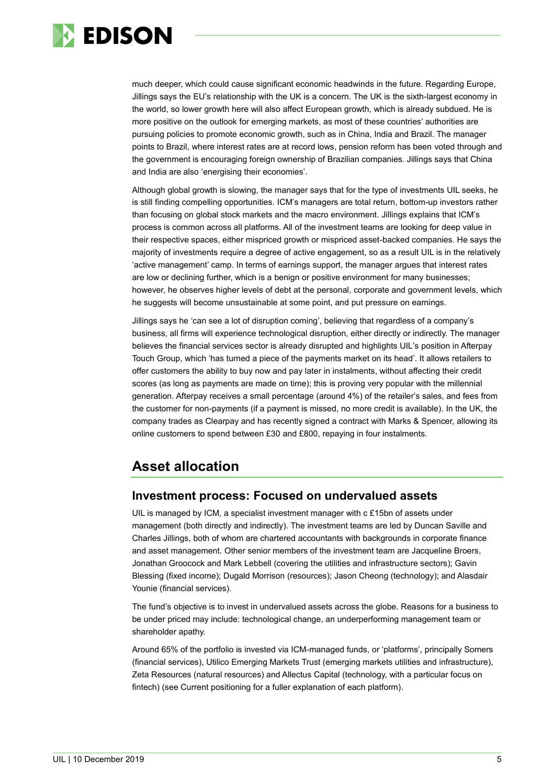

much deeper, which could cause significant economic headwinds in the future. Regarding Europe, Jillings says the EU's relationship with the UK is a concern. The UK is the sixth-largest economy in the world, so lower growth here will also affect European growth, which is already subdued. He is more positive on the outlook for emerging markets, as most of these countries' authorities are pursuing policies to promote economic growth, such as in China, India and Brazil. The manager points to Brazil, where interest rates are at record lows, pension reform has been voted through and the government is encouraging foreign ownership of Brazilian companies. Jillings says that China and India are also 'energising their economies'.

Although global growth is slowing, the manager says that for the type of investments UIL seeks, he is still finding compelling opportunities. ICM's managers are total return, bottom-up investors rather than focusing on global stock markets and the macro environment. Jillings explains that ICM's process is common across all platforms. All of the investment teams are looking for deep value in their respective spaces, either mispriced growth or mispriced asset-backed companies. He says the majority of investments require a degree of active engagement, so as a result UIL is in the relatively 'active management' camp. In terms of earnings support, the manager argues that interest rates are low or declining further, which is a benign or positive environment for many businesses; however, he observes higher levels of debt at the personal, corporate and government levels, which he suggests will become unsustainable at some point, and put pressure on earnings.

Jillings says he 'can see a lot of disruption coming', believing that regardless of a company's business, all firms will experience technological disruption, either directly or indirectly. The manager believes the financial services sector is already disrupted and highlights UIL's position in Afterpay Touch Group, which 'has turned a piece of the payments market on its head'. It allows retailers to offer customers the ability to buy now and pay later in instalments, without affecting their credit scores (as long as payments are made on time); this is proving very popular with the millennial generation. Afterpay receives a small percentage (around 4%) of the retailer's sales, and fees from the customer for non-payments (if a payment is missed, no more credit is available). In the UK, the company trades as Clearpay and has recently signed a contract with Marks & Spencer, allowing its online customers to spend between £30 and £800, repaying in four instalments.

# **Asset allocation**

### **Investment process: Focused on undervalued assets**

UIL is managed by ICM, a specialist investment manager with c £15bn of assets under management (both directly and indirectly). The investment teams are led by Duncan Saville and Charles Jillings, both of whom are chartered accountants with backgrounds in corporate finance and asset management. Other senior members of the investment team are Jacqueline Broers, Jonathan Groocock and Mark Lebbell (covering the utilities and infrastructure sectors); Gavin Blessing (fixed income); Dugald Morrison (resources); Jason Cheong (technology); and Alasdair Younie (financial services).

The fund's objective is to invest in undervalued assets across the globe. Reasons for a business to be under priced may include: technological change, an underperforming management team or shareholder apathy.

Around 65% of the portfolio is invested via ICM-managed funds, or 'platforms', principally Somers (financial services), Utilico Emerging Markets Trust (emerging markets utilities and infrastructure), Zeta Resources (natural resources) and Allectus Capital (technology, with a particular focus on fintech) (see Current positioning for a fuller explanation of each platform).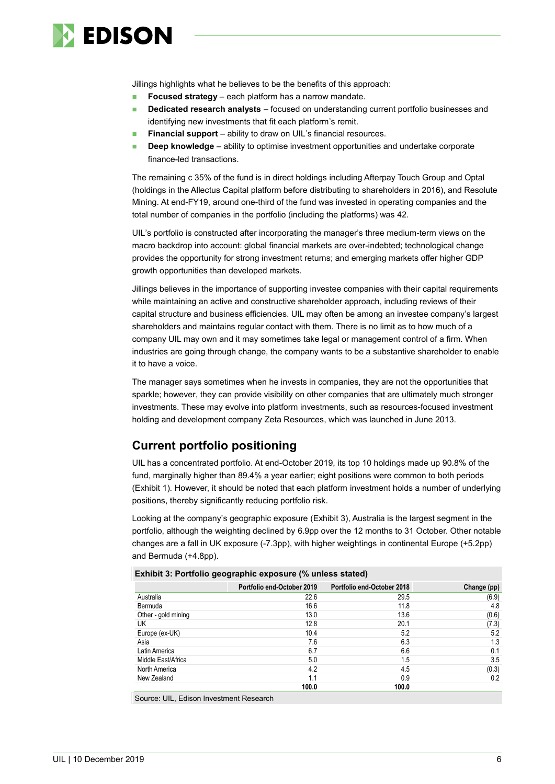

Jillings highlights what he believes to be the benefits of this approach:

- **Focused strategy** each platform has a narrow mandate.
- **Dedicated research analysts** focused on understanding current portfolio businesses and identifying new investments that fit each platform's remit.
- **Financial support** ability to draw on UIL's financial resources.
- **Deep knowledge** ability to optimise investment opportunities and undertake corporate finance-led transactions.

The remaining c 35% of the fund is in direct holdings including Afterpay Touch Group and Optal (holdings in the Allectus Capital platform before distributing to shareholders in 2016), and Resolute Mining. At end-FY19, around one-third of the fund was invested in operating companies and the total number of companies in the portfolio (including the platforms) was 42.

UIL's portfolio is constructed after incorporating the manager's three medium-term views on the macro backdrop into account: global financial markets are over-indebted; technological change provides the opportunity for strong investment returns; and emerging markets offer higher GDP growth opportunities than developed markets.

Jillings believes in the importance of supporting investee companies with their capital requirements while maintaining an active and constructive shareholder approach, including reviews of their capital structure and business efficiencies. UIL may often be among an investee company's largest shareholders and maintains regular contact with them. There is no limit as to how much of a company UIL may own and it may sometimes take legal or management control of a firm. When industries are going through change, the company wants to be a substantive shareholder to enable it to have a voice.

The manager says sometimes when he invests in companies, they are not the opportunities that sparkle; however, they can provide visibility on other companies that are ultimately much stronger investments. These may evolve into platform investments, such as resources-focused investment holding and development company Zeta Resources, which was launched in June 2013.

### **Current portfolio positioning**

UIL has a concentrated portfolio. At end-October 2019, its top 10 holdings made up 90.8% of the fund, marginally higher than 89.4% a year earlier; eight positions were common to both periods (Exhibit 1). However, it should be noted that each platform investment holds a number of underlying positions, thereby significantly reducing portfolio risk.

Looking at the company's geographic exposure (Exhibit 3), Australia is the largest segment in the portfolio, although the weighting declined by 6.9pp over the 12 months to 31 October. Other notable changes are a fall in UK exposure (-7.3pp), with higher weightings in continental Europe (+5.2pp) and Bermuda (+4.8pp).

| . .<br>. .<br>$\cdot$      |                            |             |
|----------------------------|----------------------------|-------------|
| Portfolio end-October 2019 | Portfolio end-October 2018 | Change (pp) |
| 22.6                       | 29.5                       | (6.9)       |
| 16.6                       | 11.8                       | 4.8         |
| 13.0                       | 13.6                       | (0.6)       |
| 12.8                       | 20.1                       | (7.3)       |
| 10.4                       | 5.2                        | 5.2         |
| 7.6                        | 6.3                        | 1.3         |
| 6.7                        | 6.6                        | 0.1         |
| 5.0                        | 1.5                        | 3.5         |
| 4.2                        | 4.5                        | (0.3)       |
| 1.1                        | 0.9                        | 0.2         |
| 100.0                      | 100.0                      |             |
|                            |                            |             |

Source: UIL, Edison Investment Research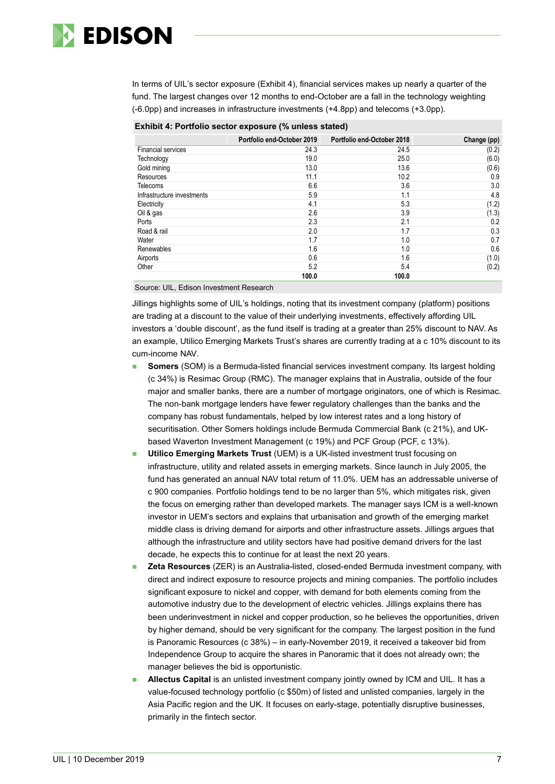

In terms of UIL's sector exposure (Exhibit 4), financial services makes up nearly a quarter of the fund. The largest changes over 12 months to end-October are a fall in the technology weighting (-6.0pp) and increases in infrastructure investments (+4.8pp) and telecoms (+3.0pp).

|                            | Portfolio end-October 2019 | Portfolio end-October 2018 |             |
|----------------------------|----------------------------|----------------------------|-------------|
|                            |                            |                            | Change (pp) |
| <b>Financial services</b>  | 24.3                       | 24.5                       | (0.2)       |
| Technology                 | 19.0                       | 25.0                       | (6.0)       |
| Gold mining                | 13.0                       | 13.6                       | (0.6)       |
| Resources                  | 11.1                       | 10.2                       | 0.9         |
| <b>Telecoms</b>            | 6.6                        | 3.6                        | 3.0         |
| Infrastructure investments | 5.9                        | 1.1                        | 4.8         |
| Electricity                | 4.1                        | 5.3                        | (1.2)       |
| Oil & gas                  | 2.6                        | 3.9                        | (1.3)       |
| Ports                      | 2.3                        | 2.1                        | 0.2         |
| Road & rail                | 2.0                        | 1.7                        | 0.3         |
| Water                      | 1.7                        | 1.0                        | 0.7         |
| Renewables                 | 1.6                        | 1.0                        | 0.6         |
| Airports                   | 0.6                        | 1.6                        | (1.0)       |
| Other                      | 5.2                        | 5.4                        | (0.2)       |
|                            | 100 በ                      | 100 በ                      |             |

### **Exhibit 4: Portfolio sector exposure (% unless stated)**

Source: UIL, Edison Investment Research

Jillings highlights some of UIL's holdings, noting that its investment company (platform) positions are trading at a discount to the value of their underlying investments, effectively affording UIL investors a 'double discount', as the fund itself is trading at a greater than 25% discount to NAV. As an example, Utilico Emerging Markets Trust's shares are currently trading at a c 10% discount to its cum-income NAV.

- **Somers** (SOM) is a Bermuda-listed financial services investment company. Its largest holding (c 34%) is Resimac Group (RMC). The manager explains that in Australia, outside of the four major and smaller banks, there are a number of mortgage originators, one of which is Resimac. The non-bank mortgage lenders have fewer regulatory challenges than the banks and the company has robust fundamentals, helped by low interest rates and a long history of securitisation. Other Somers holdings include Bermuda Commercial Bank (c 21%), and UKbased Waverton Investment Management (c 19%) and PCF Group (PCF, c 13%).
- **Utilico Emerging Markets Trust** (UEM) is a UK-listed investment trust focusing on infrastructure, utility and related assets in emerging markets. Since launch in July 2005, the fund has generated an annual NAV total return of 11.0%. UEM has an addressable universe of c 900 companies. Portfolio holdings tend to be no larger than 5%, which mitigates risk, given the focus on emerging rather than developed markets. The manager says ICM is a well-known investor in UEM's sectors and explains that urbanisation and growth of the emerging market middle class is driving demand for airports and other infrastructure assets. Jillings argues that although the infrastructure and utility sectors have had positive demand drivers for the last decade, he expects this to continue for at least the next 20 years.
- **Zeta Resources** (ZER) is an Australia-listed, closed-ended Bermuda investment company, with direct and indirect exposure to resource projects and mining companies. The portfolio includes significant exposure to nickel and copper, with demand for both elements coming from the automotive industry due to the development of electric vehicles. Jillings explains there has been underinvestment in nickel and copper production, so he believes the opportunities, driven by higher demand, should be very significant for the company. The largest position in the fund is Panoramic Resources (c 38%) – in early-November 2019, it received a takeover bid from Independence Group to acquire the shares in Panoramic that it does not already own; the manager believes the bid is opportunistic.
- **Allectus Capital** is an unlisted investment company jointly owned by ICM and UIL. It has a value-focused technology portfolio (c \$50m) of listed and unlisted companies, largely in the Asia Pacific region and the UK. It focuses on early-stage, potentially disruptive businesses, primarily in the fintech sector.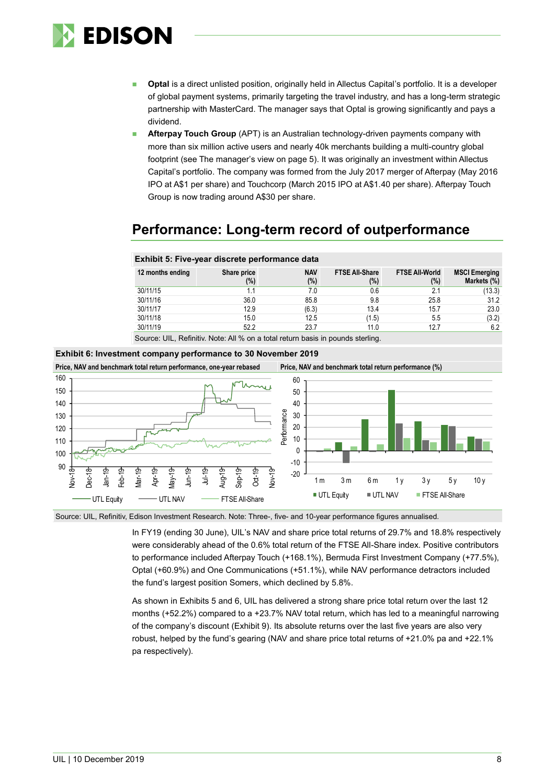

- **Optal** is a direct unlisted position, originally held in Allectus Capital's portfolio. It is a developer of global payment systems, primarily targeting the travel industry, and has a long-term strategic partnership with MasterCard. The manager says that Optal is growing significantly and pays a dividend.
- **Afterpay Touch Group** (APT) is an Australian technology-driven payments company with more than six million active users and nearly 40k merchants building a multi-country global footprint (see The manager's view on page 5). It was originally an investment within Allectus Capital's portfolio. The company was formed from the July 2017 merger of Afterpay (May 2016 IPO at A\$1 per share) and Touchcorp (March 2015 IPO at A\$1.40 per share). Afterpay Touch Group is now trading around A\$30 per share.

# **Performance: Long-term record of outperformance**

| Exhibit 5: Five-year discrete performance data |                                                                                   |                      |                              |                              |                                     |  |  |  |  |
|------------------------------------------------|-----------------------------------------------------------------------------------|----------------------|------------------------------|------------------------------|-------------------------------------|--|--|--|--|
| 12 months ending                               | Share price<br>(%)                                                                | <b>NAV</b><br>$(\%)$ | <b>FTSE All Share</b><br>(%) | <b>FTSE All World</b><br>(%) | <b>MSCI Emerging</b><br>Markets (%) |  |  |  |  |
| 30/11/15                                       | 1.1                                                                               | 7.0                  | 0.6                          | 21                           | (13.3)                              |  |  |  |  |
| 30/11/16                                       | 36.0                                                                              | 85.8                 | 9.8                          | 25.8                         | 31.2                                |  |  |  |  |
| 30/11/17                                       | 12.9                                                                              | (6.3)                | 13.4                         | 15.7                         | 23.0                                |  |  |  |  |
| 30/11/18                                       | 15.0                                                                              | 12.5                 | (1.5)                        | 5.5                          | (3.2)                               |  |  |  |  |
| 30/11/19                                       | 52.2                                                                              | 23.7                 | 11.0                         | 12.7                         | 6.2                                 |  |  |  |  |
|                                                | Causes UIL Definition Nata: AILO/ and a total notional heads be normale atominate |                      |                              |                              |                                     |  |  |  |  |

Source: UIL, Refinitiv. Note: All % on a total return basis in pounds sterling.



**Exhibit 6: Investment company performance to 30 November 2019**

Source: UIL, Refinitiv, Edison Investment Research. Note: Three-, five- and 10-year performance figures annualised.

In FY19 (ending 30 June), UIL's NAV and share price total returns of 29.7% and 18.8% respectively were considerably ahead of the 0.6% total return of the FTSE All-Share index. Positive contributors to performance included Afterpay Touch (+168.1%), Bermuda First Investment Company (+77.5%), Optal (+60.9%) and One Communications (+51.1%), while NAV performance detractors included the fund's largest position Somers, which declined by 5.8%.

As shown in Exhibits 5 and 6, UIL has delivered a strong share price total return over the last 12 months (+52.2%) compared to a +23.7% NAV total return, which has led to a meaningful narrowing of the company's discount (Exhibit 9). Its absolute returns over the last five years are also very robust, helped by the fund's gearing (NAV and share price total returns of +21.0% pa and +22.1% pa respectively).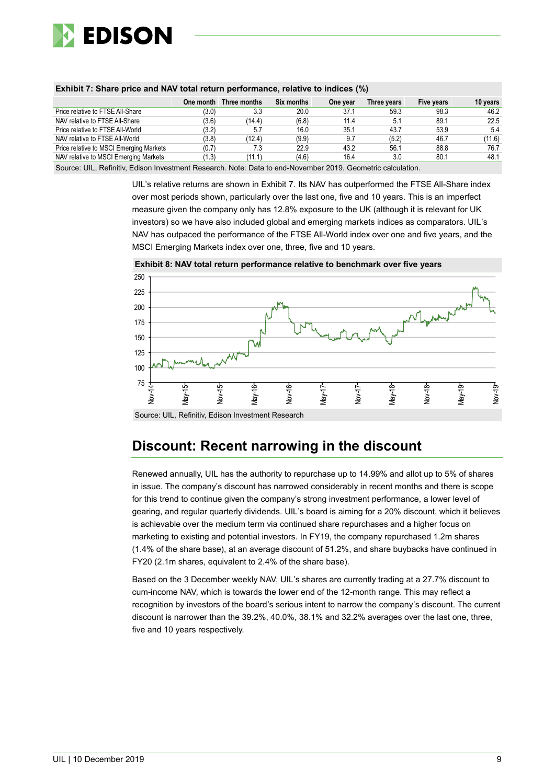

|                                         | One month | Three months | Six months | One year | Three years | Five years | 10 years |
|-----------------------------------------|-----------|--------------|------------|----------|-------------|------------|----------|
| Price relative to FTSE All-Share        | (3.0)     | 3.3          | 20.0       | 37.1     | 59.3        | 98.3       | 46.2     |
| NAV relative to FTSE All-Share          | (3.6)     | (14.4)       | (6.8)      | 11.4     | 5.1         | 89.1       | 22.5     |
| Price relative to FTSE All-World        | (3.2)     | 5.7          | 16.0       | 35.1     | 43.7        | 53.9       | 5.4      |
| NAV relative to FTSE All-World          | (3.8)     | (12.4)       | (9.9)      | 9.7      | (5.2)       | 46.7       | (11.6)   |
| Price relative to MSCI Emerging Markets | (0.7)     | 7.3          | 22.9       | 43.2     | 56.1        | 88.8       | 76.7     |
| NAV relative to MSCI Emerging Markets   | 1.3)      | (11.1)       | (4.6)      | 16.4     | 3.0         | 80.1       | 48.1     |

### **Exhibit 7: Share price and NAV total return performance, relative to indices (%)**

Source: UIL, Refinitiv, Edison Investment Research. Note: Data to end-November 2019. Geometric calculation.

UIL's relative returns are shown in Exhibit 7. Its NAV has outperformed the FTSE All-Share index over most periods shown, particularly over the last one, five and 10 years. This is an imperfect measure given the company only has 12.8% exposure to the UK (although it is relevant for UK investors) so we have also included global and emerging markets indices as comparators. UIL's NAV has outpaced the performance of the FTSE All-World index over one and five years, and the MSCI Emerging Markets index over one, three, five and 10 years.



**Exhibit 8: NAV total return performance relative to benchmark over five years**

Source: UIL, Refinitiv, Edison Investment Research

### **Discount: Recent narrowing in the discount**

Renewed annually, UIL has the authority to repurchase up to 14.99% and allot up to 5% of shares in issue. The company's discount has narrowed considerably in recent months and there is scope for this trend to continue given the company's strong investment performance, a lower level of gearing, and regular quarterly dividends. UIL's board is aiming for a 20% discount, which it believes is achievable over the medium term via continued share repurchases and a higher focus on marketing to existing and potential investors. In FY19, the company repurchased 1.2m shares (1.4% of the share base), at an average discount of 51.2%, and share buybacks have continued in FY20 (2.1m shares, equivalent to 2.4% of the share base).

Based on the 3 December weekly NAV, UIL's shares are currently trading at a 27.7% discount to cum-income NAV, which is towards the lower end of the 12-month range. This may reflect a recognition by investors of the board's serious intent to narrow the company's discount. The current discount is narrower than the 39.2%, 40.0%, 38.1% and 32.2% averages over the last one, three, five and 10 years respectively.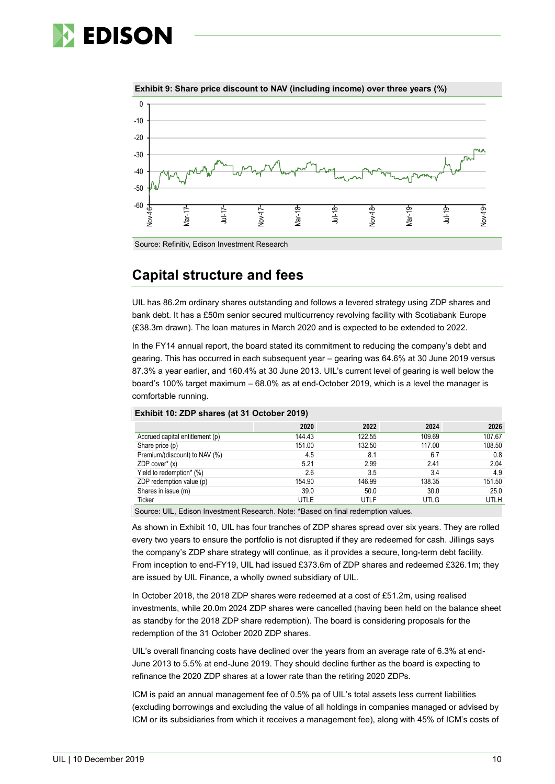





### **Capital structure and fees**

UIL has 86.2m ordinary shares outstanding and follows a levered strategy using ZDP shares and bank debt. It has a £50m senior secured multicurrency revolving facility with Scotiabank Europe (£38.3m drawn). The loan matures in March 2020 and is expected to be extended to 2022.

In the FY14 annual report, the board stated its commitment to reducing the company's debt and gearing. This has occurred in each subsequent year – gearing was 64.6% at 30 June 2019 versus 87.3% a year earlier, and 160.4% at 30 June 2013. UIL's current level of gearing is well below the board's 100% target maximum – 68.0% as at end-October 2019, which is a level the manager is comfortable running.

|                                 | 2020   | 2022   | 2024   | 2026        |
|---------------------------------|--------|--------|--------|-------------|
| Accrued capital entitlement (p) | 144.43 | 122.55 | 109.69 | 107.67      |
| Share price (p)                 | 151.00 | 132.50 | 117.00 | 108.50      |
| Premium/(discount) to NAV (%)   | 4.5    | 8.1    | 6.7    | 0.8         |
| ZDP cover $*(x)$                | 5.21   | 2.99   | 2.41   | 2.04        |
| Yield to redemption* (%)        | 2.6    | 3.5    | 3.4    | 4.9         |
| ZDP redemption value (p)        | 154.90 | 146.99 | 138.35 | 151.50      |
| Shares in issue (m)             | 39.0   | 50.0   | 30.0   | 25.0        |
| Ticker                          | UTLE   | UTLF   | UTLG   | <b>UTLH</b> |

#### **Exhibit 10: ZDP shares (at 31 October 2019)**

Source: UIL, Edison Investment Research. Note: \*Based on final redemption values.

As shown in Exhibit 10, UIL has four tranches of ZDP shares spread over six years. They are rolled every two years to ensure the portfolio is not disrupted if they are redeemed for cash. Jillings says the company's ZDP share strategy will continue, as it provides a secure, long-term debt facility. From inception to end-FY19, UIL had issued £373.6m of ZDP shares and redeemed £326.1m; they are issued by UIL Finance, a wholly owned subsidiary of UIL.

In October 2018, the 2018 ZDP shares were redeemed at a cost of £51.2m, using realised investments, while 20.0m 2024 ZDP shares were cancelled (having been held on the balance sheet as standby for the 2018 ZDP share redemption). The board is considering proposals for the redemption of the 31 October 2020 ZDP shares.

UIL's overall financing costs have declined over the years from an average rate of 6.3% at end-June 2013 to 5.5% at end-June 2019. They should decline further as the board is expecting to refinance the 2020 ZDP shares at a lower rate than the retiring 2020 ZDPs.

ICM is paid an annual management fee of 0.5% pa of UIL's total assets less current liabilities (excluding borrowings and excluding the value of all holdings in companies managed or advised by ICM or its subsidiaries from which it receives a management fee), along with 45% of ICM's costs of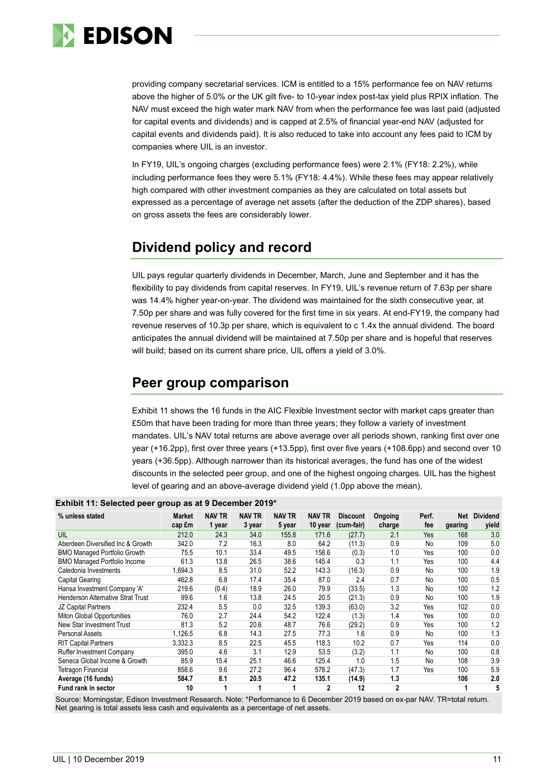

providing company secretarial services. ICM is entitled to a 15% performance fee on NAV returns above the higher of 5.0% or the UK gilt five- to 10-year index post-tax yield plus RPIX inflation. The NAV must exceed the high water mark NAV from when the performance fee was last paid (adjusted for capital events and dividends) and is capped at 2.5% of financial year-end NAV (adjusted for capital events and dividends paid). It is also reduced to take into account any fees paid to ICM by companies where UIL is an investor.

In FY19, UIL's ongoing charges (excluding performance fees) were 2.1% (FY18: 2.2%), while including performance fees they were 5.1% (FY18: 4.4%). While these fees may appear relatively high compared with other investment companies as they are calculated on total assets but expressed as a percentage of average net assets (after the deduction of the ZDP shares), based on gross assets the fees are considerably lower.

# **Dividend policy and record**

UIL pays regular quarterly dividends in December, March, June and September and it has the flexibility to pay dividends from capital reserves. In FY19, UIL's revenue return of 7.63p per share was 14.4% higher year-on-year. The dividend was maintained for the sixth consecutive year, at 7.50p per share and was fully covered for the first time in six years. At end-FY19, the company had revenue reserves of 10.3p per share, which is equivalent to c 1.4x the annual dividend. The board anticipates the annual dividend will be maintained at 7.50p per share and is hopeful that reserves will build; based on its current share price, UIL offers a yield of 3.0%.

### **Peer group comparison**

Exhibit 11 shows the 16 funds in the AIC Flexible Investment sector with market caps greater than £50m that have been trading for more than three years; they follow a variety of investment mandates. UIL's NAV total returns are above average over all periods shown, ranking first over one year (+16.2pp), first over three years (+13.5pp), first over five years (+108.6pp) and second over 10 years (+36.5pp). Although narrower than its historical averages, the fund has one of the widest discounts in the selected peer group, and one of the highest ongoing charges. UIL has the highest level of gearing and an above-average dividend yield (1.0pp above the mean).

| % unless stated                          | <b>Market</b><br>cap £m | <b>NAV TR</b><br>1 year | <b>NAV TR</b><br>3 year | <b>NAV TR</b><br>5 year | <b>NAV TR</b><br>10 year | <b>Discount</b><br>(cum-fair) | Ongoing<br>charge | Perf.<br>fee | Net<br>gearing | <b>Dividend</b><br>vield |
|------------------------------------------|-------------------------|-------------------------|-------------------------|-------------------------|--------------------------|-------------------------------|-------------------|--------------|----------------|--------------------------|
| UIL                                      | 212.0                   | 24.3                    | 34.0                    | 155.8                   | 171.6                    | (27.7)                        | 2.1               | Yes          | 168            | 3.0                      |
| Aberdeen Diversified Inc & Growth        | 342.0                   | 7.2                     | 16.3                    | 8.0                     | 64.2                     | (11.3)                        | 0.9               | No           | 109            | 5.0                      |
| <b>BMO Managed Portfolio Growth</b>      | 75.5                    | 10.1                    | 33.4                    | 49.5                    | 158.6                    | (0.3)                         | 1.0               | Yes          | 100            | 0.0                      |
| <b>BMO Managed Portfolio Income</b>      | 61.3                    | 13.8                    | 26.5                    | 38.6                    | 145.4                    | 0.3                           | 1.1               | Yes          | 100            | 4.4                      |
| Caledonia Investments                    | 1,694.3                 | 8.5                     | 31.0                    | 52.2                    | 143.3                    | (16.3)                        | 0.9               | No           | 100            | 1.9                      |
| Capital Gearing                          | 462.8                   | 6.8                     | 17.4                    | 35.4                    | 87.0                     | 2.4                           | 0.7               | No           | 100            | 0.5                      |
| Hansa Investment Company 'A'             | 219.6                   | (0.4)                   | 18.9                    | 26.0                    | 79.9                     | (33.5)                        | 1.3               | No           | 100            | 1.2                      |
| <b>Henderson Alternative Strat Trust</b> | 99.6                    | 1.6                     | 13.8                    | 24.5                    | 20.5                     | (21.3)                        | 0.9               | No           | 100            | 1.9                      |
| JZ Capital Partners                      | 232.4                   | 5.5                     | 0.0                     | 32.5                    | 139.3                    | (63.0)                        | 3.2               | Yes          | 102            | 0.0                      |
| Miton Global Opportunities               | 76.0                    | 2.7                     | 24.4                    | 54.2                    | 122.4                    | (1.3)                         | 1.4               | Yes          | 100            | 0.0                      |
| New Star Investment Trust                | 81.3                    | 5.2                     | 20.6                    | 48.7                    | 76.6                     | (29.2)                        | 0.9               | Yes          | 100            | 1.2                      |
| Personal Assets                          | 1,126.5                 | 6.8                     | 14.3                    | 27.5                    | 77.3                     | 1.6                           | 0.9               | No           | 100            | 1.3                      |
| <b>RIT Capital Partners</b>              | 3,332.3                 | 8.5                     | 22.5                    | 45.5                    | 118.3                    | 10.2                          | 0.7               | Yes          | 114            | 0.0                      |
| <b>Ruffer Investment Company</b>         | 395.0                   | 4.6                     | 3.1                     | 12.9                    | 53.5                     | (3.2)                         | 1.1               | No           | 100            | 0.8                      |
| Seneca Global Income & Growth            | 85.9                    | 15.4                    | 25.1                    | 46.6                    | 125.4                    | 1.0                           | 1.5               | No           | 108            | 3.9                      |
| Tetragon Financial                       | 858.6                   | 9.6                     | 27.2                    | 96.4                    | 578.2                    | (47.3)                        | 1.7               | Yes          | 100            | 5.9                      |
| Average (16 funds)                       | 584.7                   | 8.1                     | 20.5                    | 47.2                    | 135.1                    | (14.9)                        | 1.3               |              | 106            | 2.0                      |
| <b>Fund rank in sector</b>               | 10                      | 1                       |                         |                         | 2                        | 12                            | $\overline{2}$    |              |                | 5                        |

### **Exhibit 11: Selected peer group as at 9 December 2019\***

Source: Morningstar, Edison Investment Research. Note: \*Performance to 6 December 2019 based on ex-par NAV. TR=total return. Net gearing is total assets less cash and equivalents as a percentage of net assets.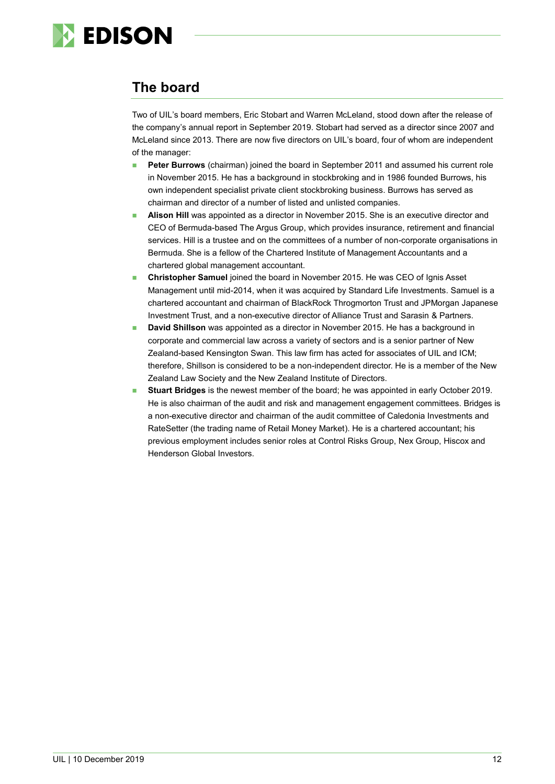

# **The board**

Two of UIL's board members, Eric Stobart and Warren McLeland, stood down after the release of the company's annual report in September 2019. Stobart had served as a director since 2007 and McLeland since 2013. There are now five directors on UIL's board, four of whom are independent of the manager:

- **Peter Burrows** (chairman) joined the board in September 2011 and assumed his current role in November 2015. He has a background in stockbroking and in 1986 founded Burrows, his own independent specialist private client stockbroking business. Burrows has served as chairman and director of a number of listed and unlisted companies.
- **Alison Hill** was appointed as a director in November 2015. She is an executive director and CEO of Bermuda-based The Argus Group, which provides insurance, retirement and financial services. Hill is a trustee and on the committees of a number of non-corporate organisations in Bermuda. She is a fellow of the Chartered Institute of Management Accountants and a chartered global management accountant.
- **Christopher Samuel** joined the board in November 2015. He was CEO of Ignis Asset Management until mid-2014, when it was acquired by Standard Life Investments. Samuel is a chartered accountant and chairman of BlackRock Throgmorton Trust and JPMorgan Japanese Investment Trust, and a non-executive director of Alliance Trust and Sarasin & Partners.
- **David Shillson** was appointed as a director in November 2015. He has a background in corporate and commercial law across a variety of sectors and is a senior partner of New Zealand-based Kensington Swan. This law firm has acted for associates of UIL and ICM; therefore, Shillson is considered to be a non-independent director. He is a member of the New Zealand Law Society and the New Zealand Institute of Directors.
- **Stuart Bridges** is the newest member of the board; he was appointed in early October 2019. He is also chairman of the audit and risk and management engagement committees. Bridges is a non-executive director and chairman of the audit committee of Caledonia Investments and RateSetter (the trading name of Retail Money Market). He is a chartered accountant; his previous employment includes senior roles at Control Risks Group, Nex Group, Hiscox and Henderson Global Investors.